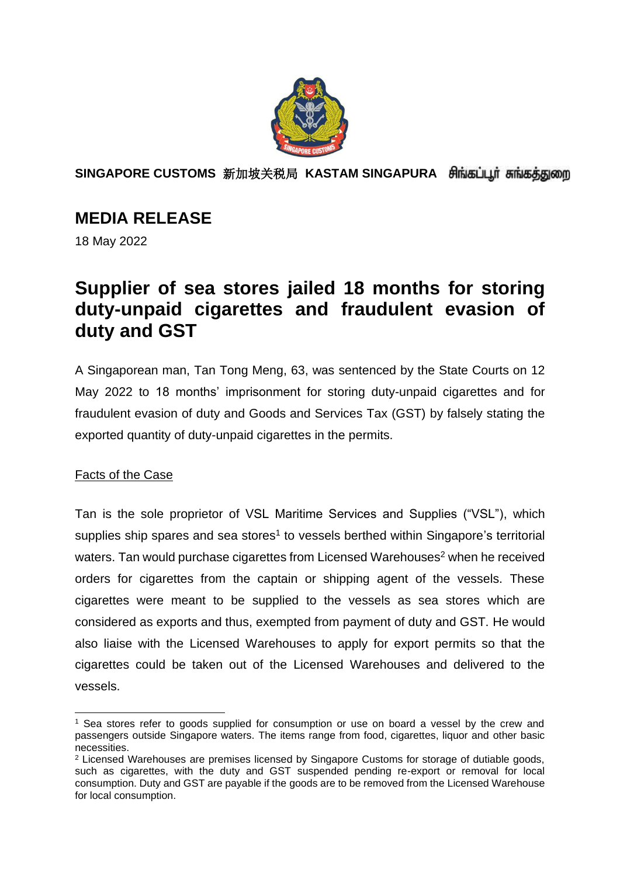

**SINGAPORE CUSTOMS** 新加坡关税局 **KASTAM SINGAPURA** 

## **MEDIA RELEASE**

18 May 2022

## **Supplier of sea stores jailed 18 months for storing duty-unpaid cigarettes and fraudulent evasion of duty and GST**

A Singaporean man, Tan Tong Meng, 63, was sentenced by the State Courts on 12 May 2022 to 18 months' imprisonment for storing duty-unpaid cigarettes and for fraudulent evasion of duty and Goods and Services Tax (GST) by falsely stating the exported quantity of duty-unpaid cigarettes in the permits.

## Facts of the Case

Tan is the sole proprietor of VSL Maritime Services and Supplies ("VSL"), which supplies ship spares and sea stores<sup>1</sup> to vessels berthed within Singapore's territorial waters. Tan would purchase cigarettes from Licensed Warehouses<sup>2</sup> when he received orders for cigarettes from the captain or shipping agent of the vessels. These cigarettes were meant to be supplied to the vessels as sea stores which are considered as exports and thus, exempted from payment of duty and GST. He would also liaise with the Licensed Warehouses to apply for export permits so that the cigarettes could be taken out of the Licensed Warehouses and delivered to the vessels.

<sup>1</sup> Sea stores refer to goods supplied for consumption or use on board a vessel by the crew and passengers outside Singapore waters. The items range from food, cigarettes, liquor and other basic necessities.

<sup>&</sup>lt;sup>2</sup> Licensed Warehouses are premises licensed by Singapore Customs for storage of dutiable goods. such as cigarettes, with the duty and GST suspended pending re-export or removal for local consumption. Duty and GST are payable if the goods are to be removed from the Licensed Warehouse for local consumption.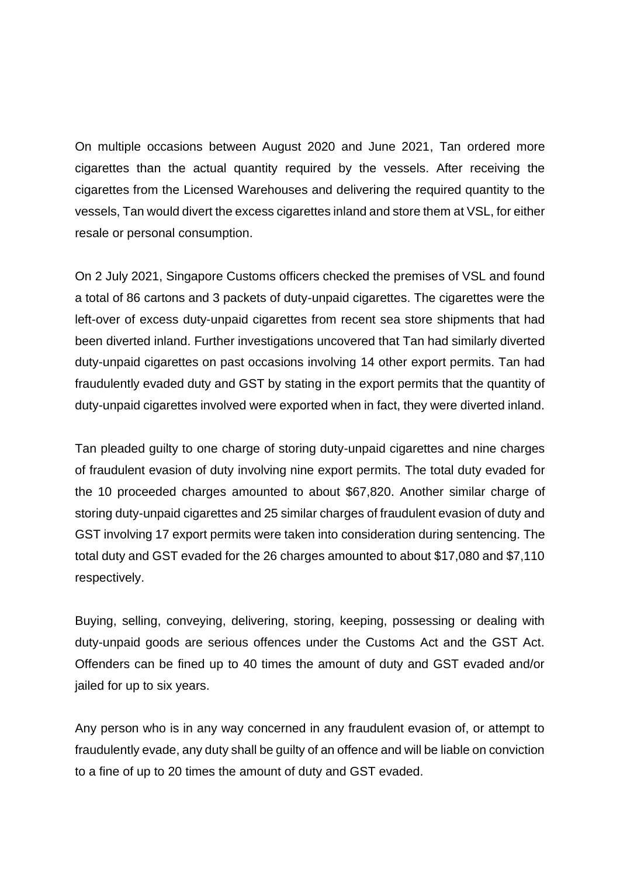On multiple occasions between August 2020 and June 2021, Tan ordered more cigarettes than the actual quantity required by the vessels. After receiving the cigarettes from the Licensed Warehouses and delivering the required quantity to the vessels, Tan would divert the excess cigarettes inland and store them at VSL, for either resale or personal consumption.

On 2 July 2021, Singapore Customs officers checked the premises of VSL and found a total of 86 cartons and 3 packets of duty-unpaid cigarettes. The cigarettes were the left-over of excess duty-unpaid cigarettes from recent sea store shipments that had been diverted inland. Further investigations uncovered that Tan had similarly diverted duty-unpaid cigarettes on past occasions involving 14 other export permits. Tan had fraudulently evaded duty and GST by stating in the export permits that the quantity of duty-unpaid cigarettes involved were exported when in fact, they were diverted inland.

Tan pleaded guilty to one charge of storing duty-unpaid cigarettes and nine charges of fraudulent evasion of duty involving nine export permits. The total duty evaded for the 10 proceeded charges amounted to about \$67,820. Another similar charge of storing duty-unpaid cigarettes and 25 similar charges of fraudulent evasion of duty and GST involving 17 export permits were taken into consideration during sentencing. The total duty and GST evaded for the 26 charges amounted to about \$17,080 and \$7,110 respectively.

Buying, selling, conveying, delivering, storing, keeping, possessing or dealing with duty-unpaid goods are serious offences under the Customs Act and the GST Act. Offenders can be fined up to 40 times the amount of duty and GST evaded and/or jailed for up to six years.

Any person who is in any way concerned in any fraudulent evasion of, or attempt to fraudulently evade, any duty shall be guilty of an offence and will be liable on conviction to a fine of up to 20 times the amount of duty and GST evaded.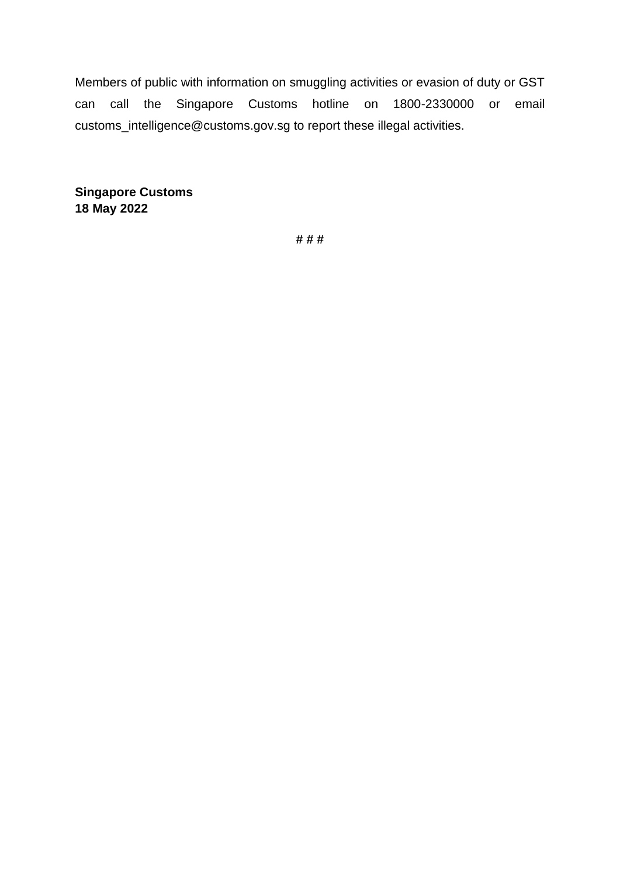Members of public with information on smuggling activities or evasion of duty or GST can call the Singapore Customs hotline on 1800-2330000 or email customs\_intelligence@customs.gov.sg to report these illegal activities.

**Singapore Customs 18 May 2022**

**# # #**